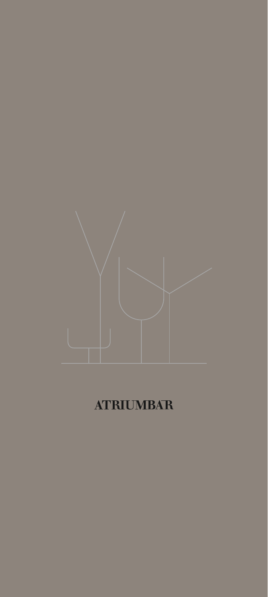

# **ATRIUMBAR**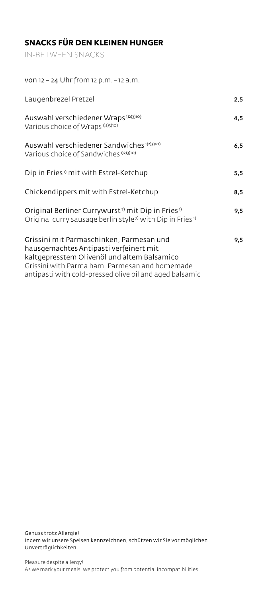# **SNACKS FÜR DEN KLEINEN HUNGER**

IN-BETWEEN SNACKS

| 2,5 |
|-----|
| 4,5 |
| 6,5 |
| 5,5 |
| 8,5 |
| 9,5 |
| 9,5 |
|     |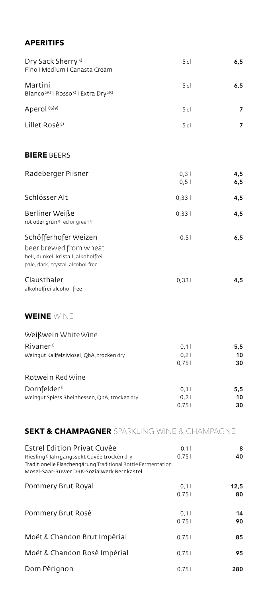# **APERITIFS**

| Dry Sack Sherry <sup>5)</sup><br>Fino   Medium   Canasta Cream                                                                                                                                      | 5 <sub>cl</sub>       | 6,5             |
|-----------------------------------------------------------------------------------------------------------------------------------------------------------------------------------------------------|-----------------------|-----------------|
| Martini<br>Bianco <sup>2)5)</sup>   Rosso <sup>5)</sup>   Extra Dry <sup>2)5)</sup>                                                                                                                 | 5 cl                  | 6,5             |
| Aperol <sup>1)5)9)</sup>                                                                                                                                                                            | 5 <sub>cl</sub>       | 7               |
| Lillet Rosé <sup>5)</sup>                                                                                                                                                                           | 5 <sub>cl</sub>       | 7               |
| <b>BIERE BEERS</b>                                                                                                                                                                                  |                       |                 |
| Radeberger Pilsner                                                                                                                                                                                  | 0,3<br>0, 51          | 4,5<br>6,5      |
| Schlösser Alt                                                                                                                                                                                       | 0,331                 | 4,5             |
| Berliner Weiße<br>rot oder grün <sup>1</sup> red or green <sup>1</sup>                                                                                                                              | 0,331                 | 4,5             |
| Schöfferhofer Weizen<br>beer brewed from wheat<br>hell, dunkel, kristall, alkoholfrei<br>pale, dark, crystal, alcohol-free                                                                          | 0, 51                 | 6,5             |
| Clausthaler<br>alkoholfrei alcohol-free                                                                                                                                                             | 0,331                 | 4,5             |
| WEINE WINE                                                                                                                                                                                          |                       |                 |
| Weißwein White Wine                                                                                                                                                                                 |                       |                 |
| Rivaner <sup>5)</sup><br>Weingut Kallfelz Mosel, QbA, trocken dry                                                                                                                                   | 0,1<br>0,21<br>0,751  | 5,5<br>10<br>30 |
| Rotwein Red Wine                                                                                                                                                                                    |                       |                 |
| Dornfelder <sup>5)</sup><br>Weingut Spiess Rheinhessen, QbA, trocken dry                                                                                                                            | 0,11<br>0,21<br>0,751 | 5,5<br>10<br>30 |
| SEKT & CHAMPAGNER SPARKLING WINE & CHAMPAGNE                                                                                                                                                        |                       |                 |
| Estrel Edition Privat Cuvée<br>Riesling <sup>5)</sup> Jahrgangssekt Cuvée trocken dry<br>Traditionelle Flaschengärung Traditional Bottle Fermentation<br>Mosel-Saar-Ruwer DRK-Sozialwerk Bernkastel | 0,11<br>0,751         | 8<br>40         |
| Pommery Brut Royal                                                                                                                                                                                  | 0,11                  | 12,5            |

| TUITIITEI Y DIULINUYAI       | $U.$ II       | ں ے ا    |
|------------------------------|---------------|----------|
|                              | 0.751         | 80       |
| Pommery Brut Rosé            | 0,11<br>0,751 | 14<br>90 |
| Moët & Chandon Brut Impérial | 0,751         | 85       |
| Moët & Chandon Rosé Impérial | 0,751         | 95       |
| Dom Pérignon                 | 0,751         | 280      |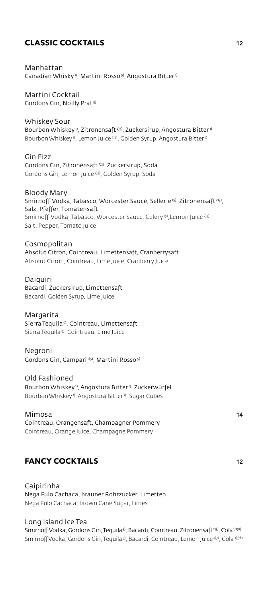## **CLASSIC COCKTAILS 12**

Manhattan Canadian Whisky<sup>1</sup>, Martini Rosso<sup>5)</sup>, Angostura Bitter<sup>1)</sup>

Martini Cocktail Gordons Gin, Noilly Prat 5)

Whiskey Sour Bourbon Whiskey<sup>1</sup>, Zitronensaft<sup>2)3)</sup>, Zuckersirup, Angostura Bitter<sup>1)</sup> Bourbon Whiskey<sup>1</sup>, Lemon Juice<sup>2)3)</sup>, Golden Syrup, Angostura Bitter<sup>1)</sup>

Gin Fizz Gordons Gin, Zitronensaft 2)3), Zuckersirup, Soda Gordons Gin, Lemon Juice 2)3), Golden Syrup, Soda

Bloody Mary Smirnoff Vodka, Tabasco, Worcester Sauce, Sellerie<sup>15)</sup>, Zitronensaft<sup>233)</sup>, Salz, Pfeffer, Tomatensaft Smirnoff Vodka, Tabasco, Worcester Sauce, Celery<sup>15)</sup>, Lemon Juice<sup>2)3)</sup>, Salt, Pepper, Tomato Juice

Cosmopolitan Absolut Citron, Cointreau, Limettensaft, Cranberrysaft Absolut Citron, Cointreau, Lime Juice, Cranberry Juice

Daiquiri Bacardi, Zuckersirup, Limettensaft Bacardi, Golden Syrup, Lime Juice

Margarita Sierra Tequila5), Cointreau, Limettensaft Sierra Tequila 5), Cointreau, Lime Juice

Negroni Gordons Gin, Campari 1)5), Martini Rosso 5)

Old Fashioned Bourbon Whiskey 1), Angostura Bitter 1), Zuckerwürfel Bourbon Whiskey<sup>1</sup>, Angostura Bitter<sup>1</sup>, Sugar Cubes

Mimosa **14** Cointreau, Orangensaft, Champagner Pommery Cointreau, Orange Juice, Champagne Pommery

# **FANCY COCKTAILS 12**

Caipirinha Nega Fulo Cachaca, brauner Rohrzucker, Limetten Nega Fulo Cachaca, brown Cane Sugar, Limes

#### Long Island Ice Tea

Smirnoff Vodka, Gordons Gin, Tequila<sup>5)</sup>, Bacardi, Cointreau, Zitronensaft<sup>2)3)</sup>, Cola<sup>1)7)8)</sup> Smirnoff Vodka, Gordons Gin, Tequila<sup>5)</sup>, Bacardi, Cointreau, Lemon Juice<sup>2)3)</sup>, Cola<sup>1)7)8)</sup>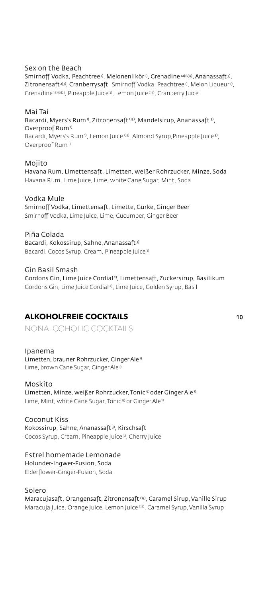#### Sex on the Beach

Smirnoff Vodka, Peachtree<sup>1)</sup>, Melonenlikör<sup>1)</sup>, Grenadine<sup>1a)tb)2)</sup>, Ananassaft<sup>3)</sup>, Zitronensaft<sup>2)3)</sup>, Cranberrysaft Smirnoff Vodka, Peachtree<sup>1)</sup>, Melon Liqueur<sup>1)</sup>, Grenadine 1a)1b)2), Pineapple Juice 3), Lemon Juice 2)3), Cranberry Juice

#### Mai Tai

Bacardi, Myers's Rum<sup>1</sup>, Zitronensaft<sup>2)3)</sup>, Mandelsirup, Ananassaft<sup>3)</sup>, Overproof Rum<sup>1)</sup> Bacardi, Myers's Rum<sup>1</sup>, Lemon Juice<sup>2)3)</sup>, Almond Syrup, Pineapple Juice<sup>3)</sup>, Overproof Rum<sup>1)</sup>

#### Mojito

Havana Rum, Limettensaft, Limetten, weißer Rohrzucker, Minze, Soda Havana Rum, Lime Juice, Lime, white Cane Sugar, Mint, Soda

#### Vodka Mule

Smirnoff Vodka, Limettensaft, Limette, Gurke, Ginger Beer Smirnoff Vodka, Lime Juice, Lime, Cucumber, Ginger Beer

Piña Colada Bacardi, Kokossirup, Sahne, Ananassaft<sup>3)</sup> Bacardi, Cocos Syrup, Cream, Pineapple Juice 3)

Gin Basil Smash Gordons Gin, Lime Juice Cordial<sup>2)</sup>, Limettensaft, Zuckersirup, Basilikum Gordons Gin, Lime Juice Cordial 2), Lime Juice, Golden Syrup, Basil

### **ALKOHOLFREIE COCKTAILS 10**

NONALCOHOLIC COCKTAILS

#### Ipanema

Limetten, brauner Rohrzucker, Ginger Ale<sup>1)</sup> Lime, brown Cane Sugar, Ginger Ale<sup>1)</sup>

#### Moskito

Limetten, Minze, weißer Rohrzucker, Tonic<sup>9)</sup> oder Ginger Ale<sup>1)</sup> Lime, Mint, white Cane Sugar, Tonic<sup>9)</sup> or Ginger Ale<sup>1)</sup>

#### Coconut Kiss

Kokossirup, Sahne, Ananassaft 3), Kirschsaft Cocos Syrup, Cream, Pineapple Juice 3), Cherry Juice

#### Estrel homemade Lemonade

Holunder-Ingwer-Fusion, Soda Elderflower-Ginger-Fusion, Soda

#### Solero

Maracujasaft, Orangensaft, Zitronensaft 2)3), Caramel Sirup, Vanille Sirup Maracuja Juice, Orange Juice, Lemon Juice 2)3), Caramel Syrup, Vanilla Syrup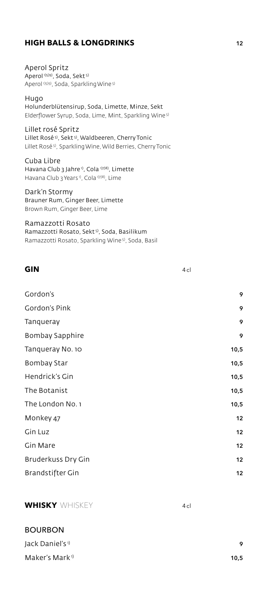# **HIGH BALLS & LONGDRINKS** 12

Aperol Spritz Aperol<sup>1)5)9)</sup>, Soda, Sekt<sup>5)</sup> Aperol 1)5)9), Soda, Sparkling Wine 5)

Hugo Holunderblütensirup, Soda, Limette, Minze, Sekt Elderflower Syrup, Soda, Lime, Mint, Sparkling Wine 5)

Lillet rosé Spritz Lillet Rosé<sup>5)</sup>, Sekt<sup>5)</sup>, Waldbeeren, Cherry Tonic Lillet Rosé 5), Sparkling Wine, Wild Berries, Cherry Tonic

Cuba Libre Havana Club 3 Jahre<sup>1)</sup>, Cola<sup>1)7)8</sup>, Limette Havana Club 3 Years<sup>1)</sup>, Cola<sup>1)7)8</sup>, Lime

Dark'n Stormy Brauner Rum, Ginger Beer, Limette Brown Rum, Ginger Beer, Lime

Ramazzotti Rosato Ramazzotti Rosato, Sekt<sup>5)</sup>, Soda, Basilikum Ramazzotti Rosato, Sparkling Wine 5), Soda, Basil

| <b>GIN</b> | 4c |
|------------|----|
|            |    |

| Gordon's           | 9    |
|--------------------|------|
| Gordon's Pink      | 9    |
| Tanqueray          | 9    |
| Bombay Sapphire    | 9    |
| Tanqueray No. 10   | 10,5 |
| <b>Bombay Star</b> | 10,5 |
| Hendrick's Gin     | 10,5 |
| The Botanist       | 10,5 |
| The London No. 1   | 10,5 |
| Monkey 47          | 12   |
| Gin Luz            | 12   |
| Gin Mare           | 12   |
| Bruderkuss Dry Gin | 12   |
| Brandstifter Gin   | 12   |

**WHISKY** WHISKEY **4cl** 

#### BOURBON

| Jack Daniel's <sup>1)</sup> | ۰    |
|-----------------------------|------|
| Maker's Mark <sup>1)</sup>  | 10.5 |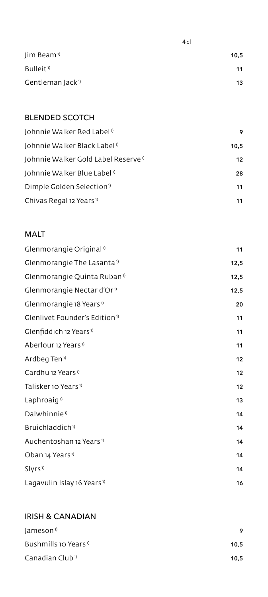| Jim Beam <sup>1)</sup>       | 10,5 |
|------------------------------|------|
| Bulleit <sup>1</sup>         | 11   |
| Gentleman Jack <sup>1)</sup> | 13   |

4 cl

## BLENDED SCOTCH

| Johnnie Walker Red Label <sup>1</sup>           | 9    |
|-------------------------------------------------|------|
| Johnnie Walker Black Label <sup>1)</sup>        | 10,5 |
| Johnnie Walker Gold Label Reserve <sup>1)</sup> | 12   |
| Johnnie Walker Blue Label <sup>1)</sup>         | 28   |
| Dimple Golden Selection <sup>1</sup>            | 11   |
| Chivas Regal 12 Years <sup>1)</sup>             | 11   |

# MALT

| Glenmorangie Original <sup>1</sup>        | 11   |
|-------------------------------------------|------|
| Glenmorangie The Lasanta <sup>1)</sup>    | 12,5 |
| Glenmorangie Quinta Ruban <sup>1)</sup>   | 12,5 |
| Glenmorangie Nectar d'Or <sup>1)</sup>    | 12,5 |
| Glenmorangie 18 Years <sup>1)</sup>       | 20   |
| Glenlivet Founder's Edition <sup>1)</sup> | 11   |
| Glenfiddich 12 Years <sup>1)</sup>        | 11   |
| Aberlour 12 Years <sup>1)</sup>           | 11   |
| Ardbeg Ten <sup>1)</sup>                  | 12   |
| Cardhu 12 Years <sup>1)</sup>             | 12   |
| Talisker 10 Years <sup>1)</sup>           | 12   |
| Laphroaig <sup>1)</sup>                   | 13   |
| Dalwhinnie <sup>1)</sup>                  | 14   |
| Bruichladdich <sup>1)</sup>               | 14   |
| Auchentoshan 12 Years <sup>1)</sup>       | 14   |
| Oban 14 Years <sup>1)</sup>               | 14   |
| Slyrs <sup>1)</sup>                       | 14   |
| Lagavulin Islay 16 Years <sup>1)</sup>    | 16   |
|                                           |      |

# IRISH & CANADIAN

| Jameson <sup>1)</sup>           | Q    |
|---------------------------------|------|
| Bushmills 10 Years <sup>1</sup> | 10.5 |
| Canadian Club <sup>1</sup>      | 10.5 |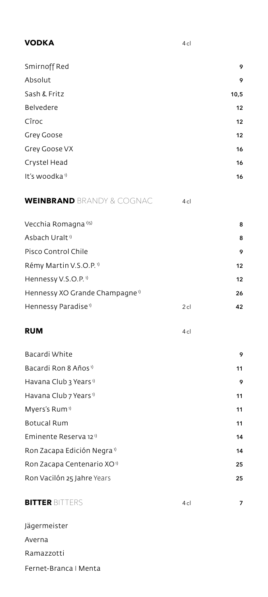| Smirnoff Red              | 9    |
|---------------------------|------|
| Absolut                   | 9    |
| Sash & Fritz              | 10,5 |
| Belvedere                 | 12   |
| Cîroc                     | 12   |
| Grey Goose                | 12   |
| Grey Goose VX             | 16   |
| Crystel Head              | 16   |
| It's woodka <sup>1)</sup> | 16   |

# **WEINBRAND** BRANDY & COGNAC 4cl

**VODKA** 4cl

| Vecchia Romagna <sup>1)5)</sup>            |        | 8  |
|--------------------------------------------|--------|----|
| Asbach Uralt <sup>1</sup>                  |        | 8  |
| Pisco Control Chile                        |        | 9  |
| Rémy Martin V.S.O.P. <sup>1)</sup>         |        | 12 |
| Hennessy V.S.O.P. <sup>1)</sup>            |        | 12 |
| Hennessy XO Grande Champagne <sup>1)</sup> |        | 26 |
| Hennessy Paradise <sup>1)</sup>            | $2$ cl | 42 |
|                                            |        |    |

## **RUM** 4 cl

| Bacardi White                          | 9  |
|----------------------------------------|----|
| Bacardi Ron 8 Años <sup>1)</sup>       | 11 |
| Havana Club 3 Years <sup>1)</sup>      | 9  |
| Havana Club 7 Years <sup>1)</sup>      | 11 |
| Myers's Rum <sup>1)</sup>              | 11 |
| <b>Botucal Rum</b>                     | 11 |
| Eminente Reserva 12 <sup>1)</sup>      | 14 |
| Ron Zacapa Edición Negra <sup>1)</sup> | 14 |
| Ron Zacapa Centenario XO <sup>1)</sup> | 25 |
| Ron Vacilón 25 Jahre Years             | 25 |
|                                        |    |

## **BITTER** BITTERS 4cl **7**

# Jägermeister Averna Ramazzotti Fernet-Branca I Menta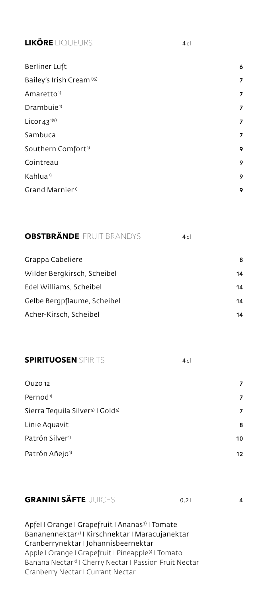# **LIKÖRE** LIQUEURS 4 cl

| Berliner Luft                        | 6              |
|--------------------------------------|----------------|
| Bailey's Irish Cream <sup>1)5)</sup> | 7              |
| Amaretto <sup>1)</sup>               | 7              |
| Drambuie <sup>1)</sup>               | 7              |
| Licor 43 <sup>1)5)</sup>             | $\overline{7}$ |
| Sambuca                              | $\overline{7}$ |
| Southern Comfort <sup>1)</sup>       | 9              |
| Cointreau                            | 9              |
| Kahlua <sup>1)</sup>                 | 9              |
| Grand Marnier <sup>1</sup>           | 9              |
|                                      |                |

# **OBSTBRÄNDE** FRUIT BRANDYS 4cl

| Grappa Cabeliere            | 8  |
|-----------------------------|----|
| Wilder Bergkirsch, Scheibel | 14 |
| Edel Williams, Scheibel     | 14 |
| Gelbe Bergpflaume, Scheibel | 14 |
| Acher-Kirsch, Scheibel      | 14 |

#### **SPIRITUOSEN** SPIRITS 4 cl

| Ouzo 12                                                  | 7  |
|----------------------------------------------------------|----|
| Pernod <sup>1)</sup>                                     | 7  |
| Sierra Tequila Silver <sup>5)</sup>   Gold <sup>5)</sup> | 7  |
| Linie Aquavit                                            | 8  |
| Patrón Silver <sup>1</sup>                               | 10 |
| Patrón Añejo <sup>1)</sup>                               | 12 |

# **GRANINI SÄFTE** JUICES 0,2 <sup>l</sup> **<sup>4</sup>**

Apfel I Orange I Grapefruit I Ananas<sup>3)</sup> I Tomate Bananennektar<sup>3)</sup> | Kirschnektar | Maracujanektar Cranberrynektar I Johannisbeernektar Apple I Orange I Grapefruit I Pineapple3) I Tomato Banana Nectar 3) I Cherry Nectar I Passion Fruit Nectar Cranberry Nectar I Currant Nectar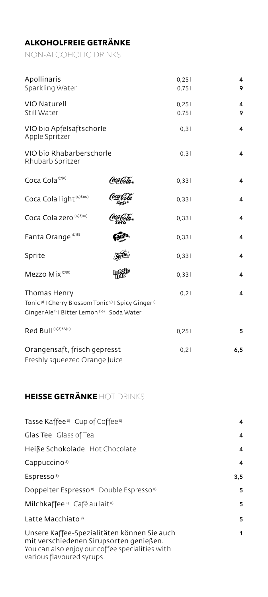# **ALKOHOLFREIE GETRÄNKE**

NON-ALCOHOLIC DRINKS

| Apollinaris<br>Sparkling Water                                                                                                                                                |             | 0,251<br>0,751 | 4<br>9 |
|-------------------------------------------------------------------------------------------------------------------------------------------------------------------------------|-------------|----------------|--------|
| VIO Naturell<br>Still Water                                                                                                                                                   |             | 0,251<br>0,751 | 4<br>9 |
| VIO bio Apfelsaftschorle<br>Apple Spritzer                                                                                                                                    |             | 0,31           | 4      |
| VIO bio Rhabarberschorle<br>Rhubarb Spritzer                                                                                                                                  |             | 0,31           | 4      |
| Coca Cola <sup>1)7)8)</sup>                                                                                                                                                   | Coca Cola " | 0,331          | 4      |
| Coca Cola light <sup>1)7)8)10)</sup>                                                                                                                                          |             | 0,331          | 4      |
| Coca Cola zero <sup>1)7)8)10)</sup>                                                                                                                                           |             | 0,331          | 4      |
| Fanta Orange <sup>1)7)8)</sup>                                                                                                                                                |             | 0,331          | 4      |
| Sprite                                                                                                                                                                        |             | 0,331          | 4      |
| Mezzo Mix <sup>1)7)8)</sup>                                                                                                                                                   |             | 0,331          | 4      |
| Thomas Henry<br>Tonic <sup>9)</sup>   Cherry Blossom Tonic <sup>9)</sup>   Spicy Ginger <sup>1)</sup><br>Ginger Ale <sup>1)</sup>   Bitter Lemon <sup>3)9)</sup>   Soda Water |             | 0,21           | 4      |
| Red Bull <sup>1)7)8)8A)11)</sup>                                                                                                                                              |             | 0,251          | 5      |
| Orangensaft, frisch gepresst<br>Freshly squeezed Orange Juice                                                                                                                 |             | 0,21           | 6,5    |

# **HEISSE GETRÄNKE** HOT DRINKS

| Tasse Kaffee <sup>8</sup> Cup of Coffee <sup>8</sup>                                                                                                                   | 4   |
|------------------------------------------------------------------------------------------------------------------------------------------------------------------------|-----|
| Glas Tee Glass of Tea                                                                                                                                                  | 4   |
| Heiße Schokolade Hot Chocolate                                                                                                                                         | 4   |
| Cappuccino <sup>8)</sup>                                                                                                                                               | 4   |
| Espresso <sup>8)</sup>                                                                                                                                                 | 3,5 |
| Doppelter Espresso <sup>8</sup> Double Espresso <sup>8</sup>                                                                                                           | 5   |
| Milchkaffee <sup>8</sup> Café au lait <sup>8)</sup>                                                                                                                    | 5   |
| Latte Macchiato <sup>8)</sup>                                                                                                                                          | 5   |
| Unsere Kaffee-Spezialitäten können Sie auch<br>mit verschiedenen Sirupsorten genießen.<br>You can also enjoy our coffee specialities with<br>various flavoured syrups. | 1   |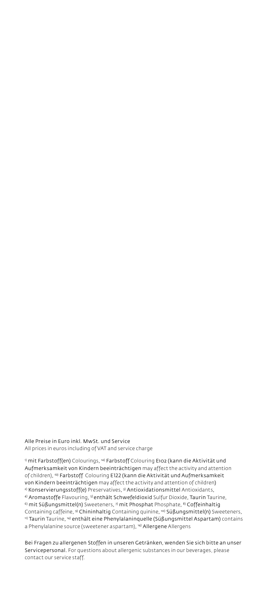Alle Preise in Euro inkl. MwSt. und Service All prices in euros including of VAT and service charge

<sup>1)</sup> mit Farbstoff(en) Colourings, <sup>1a)</sup> Farbstoff Colouring E102 (kann die Aktivität und Aufmerksamkeit von Kindern beeinträchtigen may affect the activity and attention of children), 1b) Farbstoff Colouring E122 (kann die Aktivität und Aufmerksamkeit von Kindern beeinträchtigen may affect the activity and attention of children) 2) Konservierungsstoff(e) Preservatives, 3) Antioxidationsmittel Antioxidants, 4) Aromastoffe Flavouring, <sup>5)</sup> enthält Schwefeldioxid Sulfur Dioxide, Taurin Taurine, <sup>6)</sup> mit Süßungsmittel(n) Sweeteners, <sup>7)</sup> mit Phosphat Phosphate, <sup>8)</sup> Coffeinhaltig Containing caffeine, <sup>9)</sup> Chininhaltig Containing quinine, <sup>10)</sup> Süßungsmittel(n) Sweeteners, 11) Taurin Taurine, <sup>14)</sup> enthält eine Phenylalaninquelle (Süßungsmittel Aspartam) contains a Phenylalanine source (sweetener aspartam), <sup>14)</sup> Allergene Allergens

Bei Fragen zu allergenen Stoffen in unseren Getränken, wenden Sie sich bitte an unser Servicepersonal. For questions about allergenic substances in our beverages, please contact our service staff.